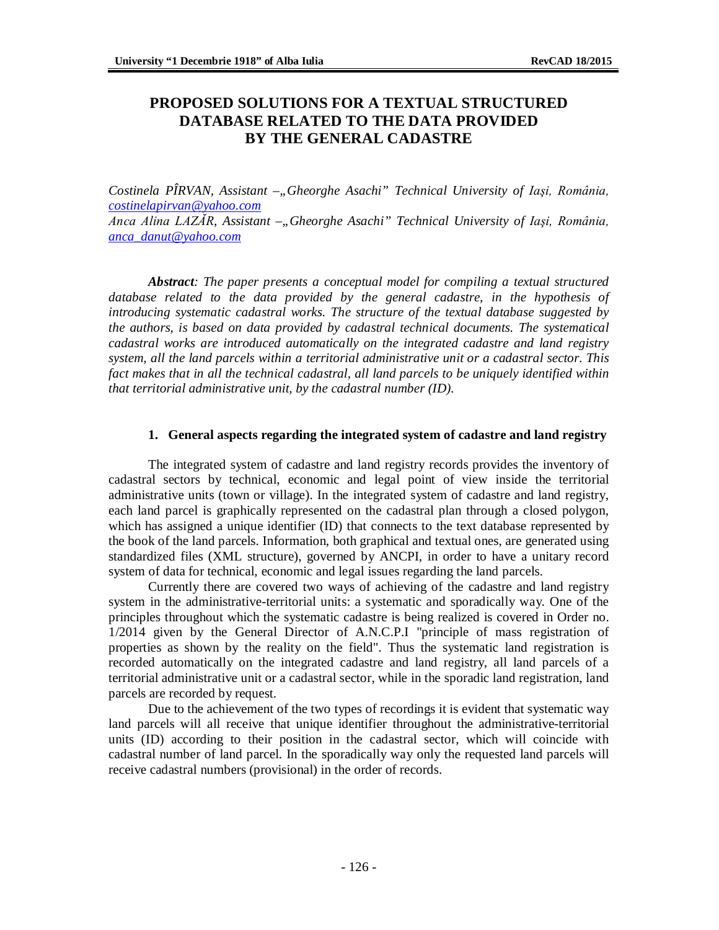# **PROPOSED SOLUTIONS FOR A TEXTUAL STRUCTURED DATABASE RELATED TO THE DATA PROVIDED BY THE GENERAL CADASTRE**

*Costinela PÎRVAN, Assistant* -,, Gheorghe Asachi" Technical University of Iași, România, *[costinelapirvan@yahoo.com](mailto:costinelapirvan@yahoo.com)*

*Anca Alina LAZĂR, Assistant –"Gheorghe Asachi" Technical University of Iaşi, România, [anca\\_danut@yahoo.com](mailto:anca_danut@yahoo.com)*

*Abstract: The paper presents a conceptual model for compiling a textual structured database related to the data provided by the general cadastre, in the hypothesis of introducing systematic cadastral works. The structure of the textual database suggested by the authors, is based on data provided by cadastral technical documents. The systematical cadastral works are introduced automatically on the integrated cadastre and land registry system, all the land parcels within a territorial administrative unit or a cadastral sector. This fact makes that in all the technical cadastral, all land parcels to be uniquely identified within that territorial administrative unit, by the cadastral number (ID).*

#### **1. General aspects regarding the integrated system of cadastre and land registry**

The integrated system of cadastre and land registry records provides the inventory of cadastral sectors by technical, economic and legal point of view inside the territorial administrative units (town or village). In the integrated system of cadastre and land registry, each land parcel is graphically represented on the cadastral plan through a closed polygon, which has assigned a unique identifier (ID) that connects to the text database represented by the book of the land parcels. Information, both graphical and textual ones, are generated using standardized files (XML structure), governed by ANCPI, in order to have a unitary record system of data for technical, economic and legal issues regarding the land parcels.

Currently there are covered two ways of achieving of the cadastre and land registry system in the administrative-territorial units: a systematic and sporadically way. One of the principles throughout which the systematic cadastre is being realized is covered in Order no. 1/2014 given by the General Director of A.N.C.P.I "principle of mass registration of properties as shown by the reality on the field". Thus the systematic land registration is recorded automatically on the integrated cadastre and land registry, all land parcels of a territorial administrative unit or a cadastral sector, while in the sporadic land registration, land parcels are recorded by request.

Due to the achievement of the two types of recordings it is evident that systematic way land parcels will all receive that unique identifier throughout the administrative-territorial units (ID) according to their position in the cadastral sector, which will coincide with cadastral number of land parcel. In the sporadically way only the requested land parcels will receive cadastral numbers (provisional) in the order of records.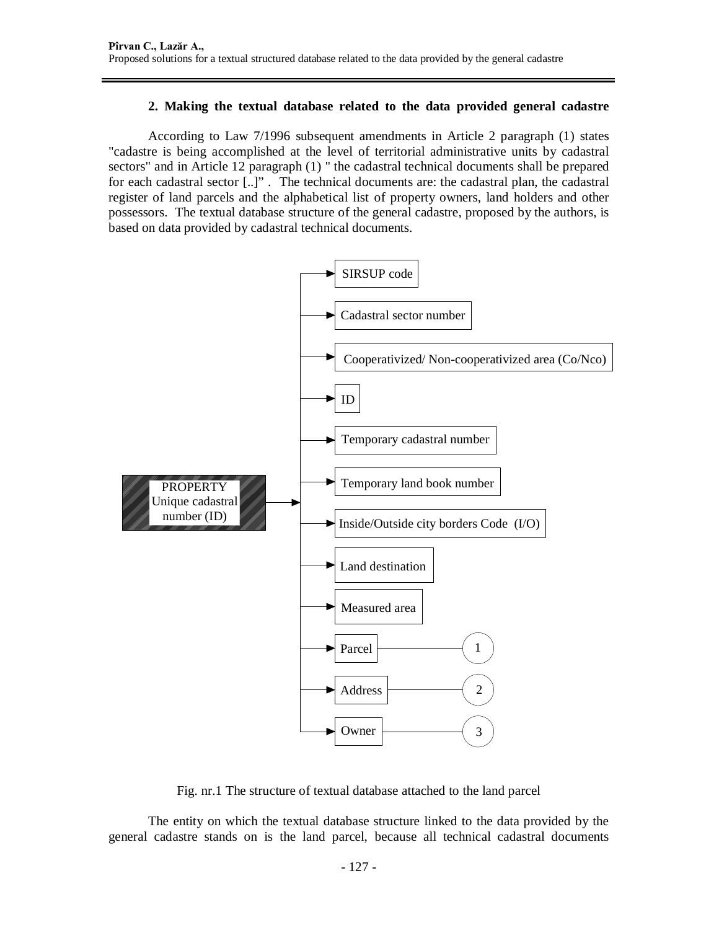## **2. Making the textual database related to the data provided general cadastre**

According to Law 7/1996 subsequent amendments in Article 2 paragraph (1) states "cadastre is being accomplished at the level of territorial administrative units by cadastral sectors" and in Article 12 paragraph (1) " the cadastral technical documents shall be prepared for each cadastral sector [..]" . The technical documents are: the cadastral plan, the cadastral register of land parcels and the alphabetical list of property owners, land holders and other possessors. The textual database structure of the general cadastre, proposed by the authors, is based on data provided by cadastral technical documents.



Fig. nr.1 The structure of textual database attached to the land parcel

The entity on which the textual database structure linked to the data provided by the general cadastre stands on is the land parcel, because all technical cadastral documents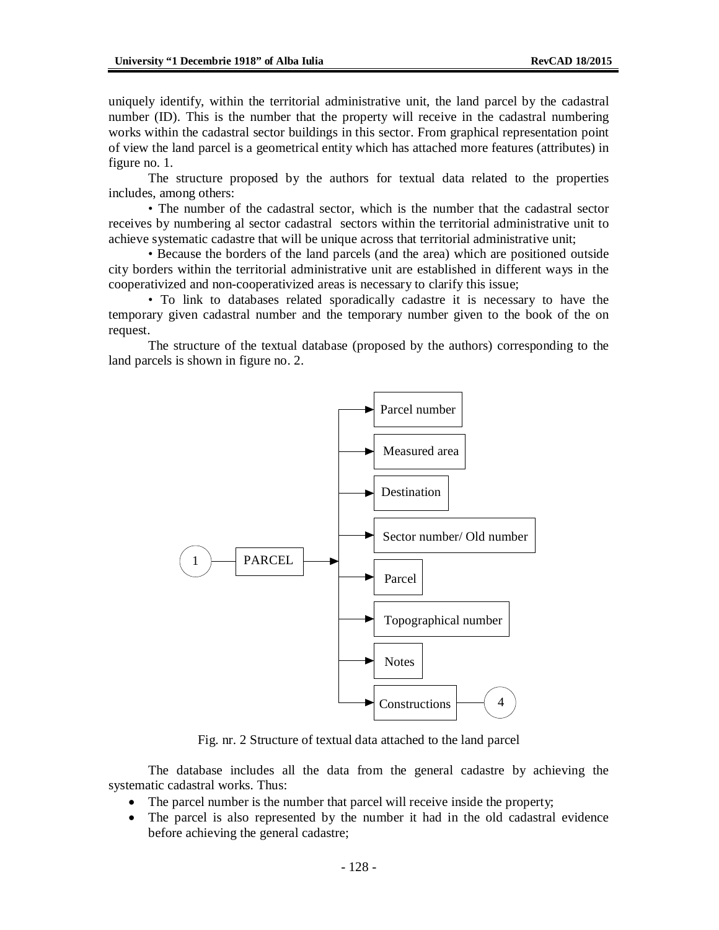uniquely identify, within the territorial administrative unit, the land parcel by the cadastral number (ID). This is the number that the property will receive in the cadastral numbering works within the cadastral sector buildings in this sector. From graphical representation point of view the land parcel is a geometrical entity which has attached more features (attributes) in figure no. 1.

The structure proposed by the authors for textual data related to the properties includes, among others:

• The number of the cadastral sector, which is the number that the cadastral sector receives by numbering al sector cadastral sectors within the territorial administrative unit to achieve systematic cadastre that will be unique across that territorial administrative unit;

• Because the borders of the land parcels (and the area) which are positioned outside city borders within the territorial administrative unit are established in different ways in the cooperativized and non-cooperativized areas is necessary to clarify this issue;

• To link to databases related sporadically cadastre it is necessary to have the temporary given cadastral number and the temporary number given to the book of the on request.

The structure of the textual database (proposed by the authors) corresponding to the land parcels is shown in figure no. 2.



Fig. nr. 2 Structure of textual data attached to the land parcel

The database includes all the data from the general cadastre by achieving the systematic cadastral works. Thus:

- The parcel number is the number that parcel will receive inside the property;
- The parcel is also represented by the number it had in the old cadastral evidence before achieving the general cadastre;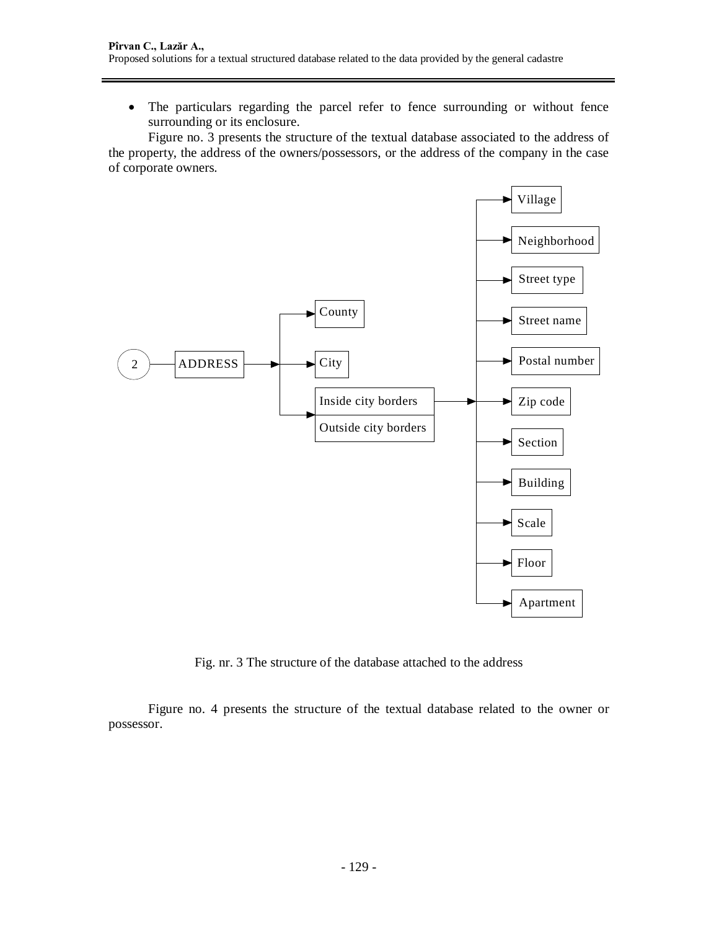The particulars regarding the parcel refer to fence surrounding or without fence surrounding or its enclosure.

Figure no. 3 presents the structure of the textual database associated to the address of the property, the address of the owners/possessors, or the address of the company in the case of corporate owners.



Fig. nr. 3 The structure of the database attached to the address

Figure no. 4 presents the structure of the textual database related to the owner or possessor.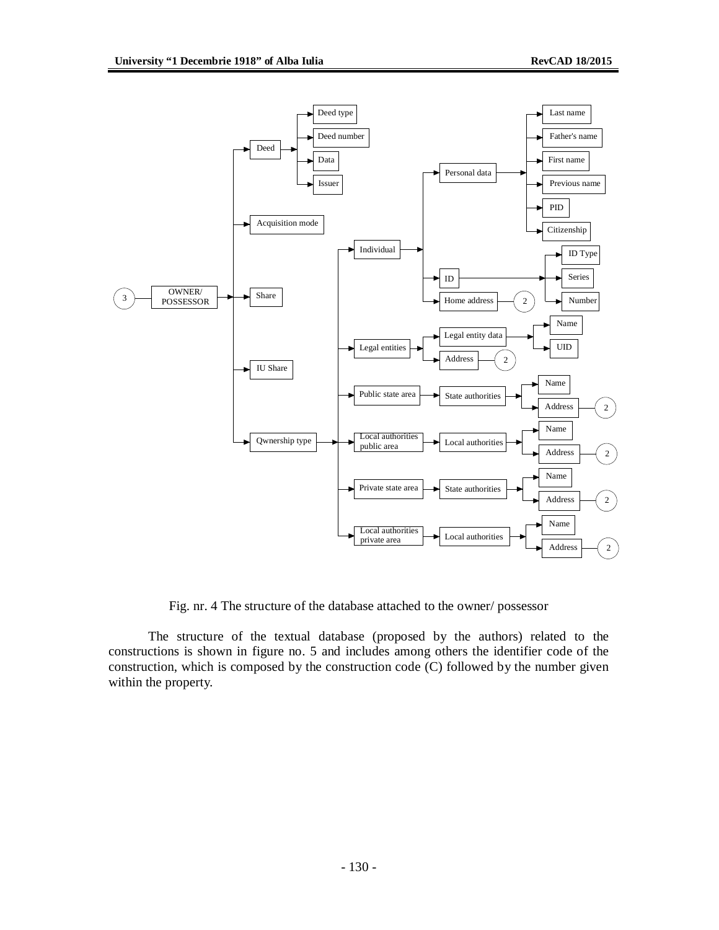

Fig. nr. 4 The structure of the database attached to the owner/ possessor

The structure of the textual database (proposed by the authors) related to the constructions is shown in figure no. 5 and includes among others the identifier code of the construction, which is composed by the construction code (C) followed by the number given within the property.